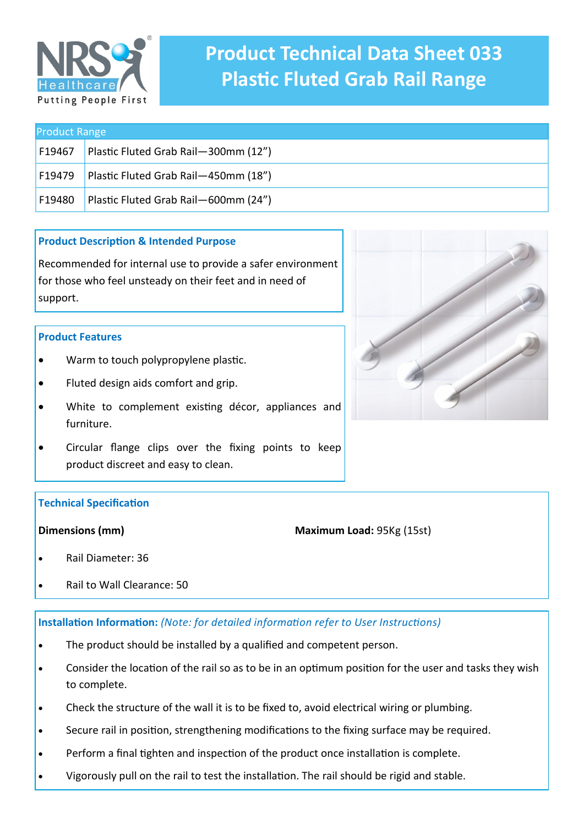

# **Product Technical Data Sheet 033 Plastic Fluted Grab Rail Range**

| <b>Product Range</b> |                                      |
|----------------------|--------------------------------------|
| F19467               | Plastic Fluted Grab Rail-300mm (12") |
| F19479               | Plastic Fluted Grab Rail-450mm (18") |
| F19480               | Plastic Fluted Grab Rail-600mm (24") |

# **Product Description & Intended Purpose**

Recommended for internal use to provide a safer environment for those who feel unsteady on their feet and in need of support.

# **Product Features**

- Warm to touch polypropylene plastic.
- Fluted design aids comfort and grip.
- White to complement existing décor, appliances and furniture.
- Circular flange clips over the fixing points to keep product discreet and easy to clean.

# **Technical Specification**

# **Dimensions (mm)**

**Maximum Load:** 95Kg (15st)

- Rail Diameter: 36
- Rail to Wall Clearance: 50

# **Installation Information:** *(Note: for detailed information refer to User Instructions)*

- The product should be installed by a qualified and competent person.
- Consider the location of the rail so as to be in an optimum position for the user and tasks they wish to complete.
- Check the structure of the wall it is to be fixed to, avoid electrical wiring or plumbing.
- Secure rail in position, strengthening modifications to the fixing surface may be required.
- Perform a final tighten and inspection of the product once installation is complete.
- Vigorously pull on the rail to test the installation. The rail should be rigid and stable.